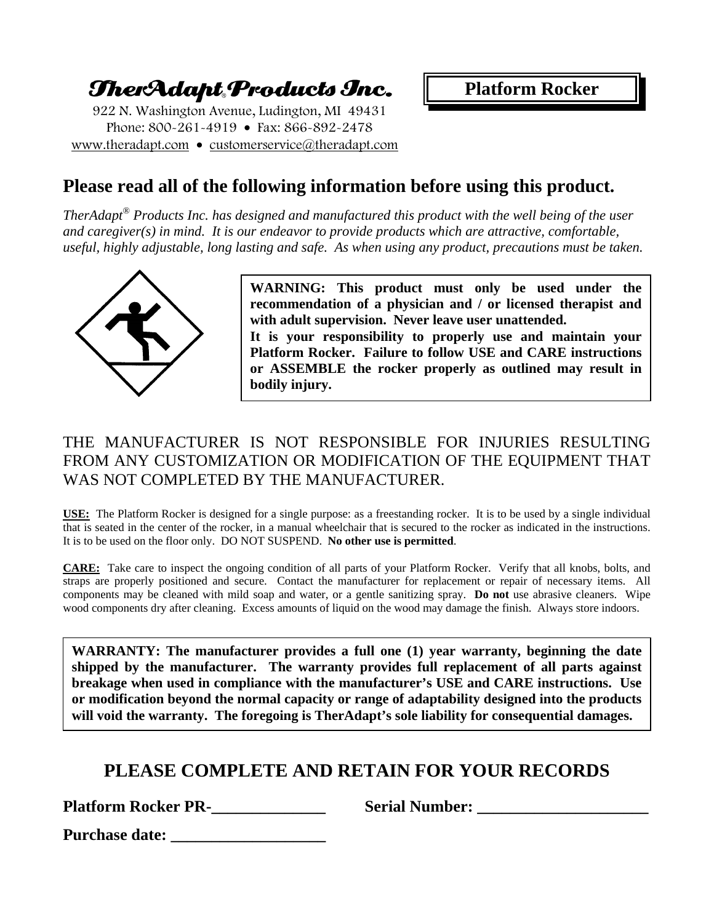# TherAdapt Products Inc.

922 N. Washington Avenue, Ludington, MI 49431 Phone: 800-261-4919 • Fax: 866-892-2478 www.theradapt.com • customerservice@theradapt.com **Platform Rocker**

## **Please read all of the following information before using this product.**

*TherAdapt*® *Products Inc. has designed and manufactured this product with the well being of the user and caregiver(s) in mind. It is our endeavor to provide products which are attractive, comfortable, useful, highly adjustable, long lasting and safe. As when using any product, precautions must be taken.* 



**WARNING: This product must only be used under the recommendation of a physician and / or licensed therapist and with adult supervision. Never leave user unattended. It is your responsibility to properly use and maintain your Platform Rocker. Failure to follow USE and CARE instructions or ASSEMBLE the rocker properly as outlined may result in bodily injury.** 

## THE MANUFACTURER IS NOT RESPONSIBLE FOR INJURIES RESULTING FROM ANY CUSTOMIZATION OR MODIFICATION OF THE EQUIPMENT THAT WAS NOT COMPLETED BY THE MANUFACTURER.

**USE:** The Platform Rocker is designed for a single purpose: as a freestanding rocker. It is to be used by a single individual that is seated in the center of the rocker, in a manual wheelchair that is secured to the rocker as indicated in the instructions. It is to be used on the floor only. DO NOT SUSPEND. **No other use is permitted**.

**CARE:** Take care to inspect the ongoing condition of all parts of your Platform Rocker. Verify that all knobs, bolts, and straps are properly positioned and secure. Contact the manufacturer for replacement or repair of necessary items. All components may be cleaned with mild soap and water, or a gentle sanitizing spray. **Do not** use abrasive cleaners. Wipe wood components dry after cleaning. Excess amounts of liquid on the wood may damage the finish. Always store indoors.

**WARRANTY: The manufacturer provides a full one (1) year warranty, beginning the date shipped by the manufacturer. The warranty provides full replacement of all parts against breakage when used in compliance with the manufacturer's USE and CARE instructions. Use or modification beyond the normal capacity or range of adaptability designed into the products will void the warranty. The foregoing is TherAdapt's sole liability for consequential damages.** 

# **PLEASE COMPLETE AND RETAIN FOR YOUR RECORDS**

**Platform Rocker PR-\_\_\_\_\_\_\_\_\_\_\_\_\_\_ Serial Number: \_\_\_\_\_\_\_\_\_\_\_\_\_\_\_\_\_\_\_\_\_** 

**Purchase date:**  $\blacksquare$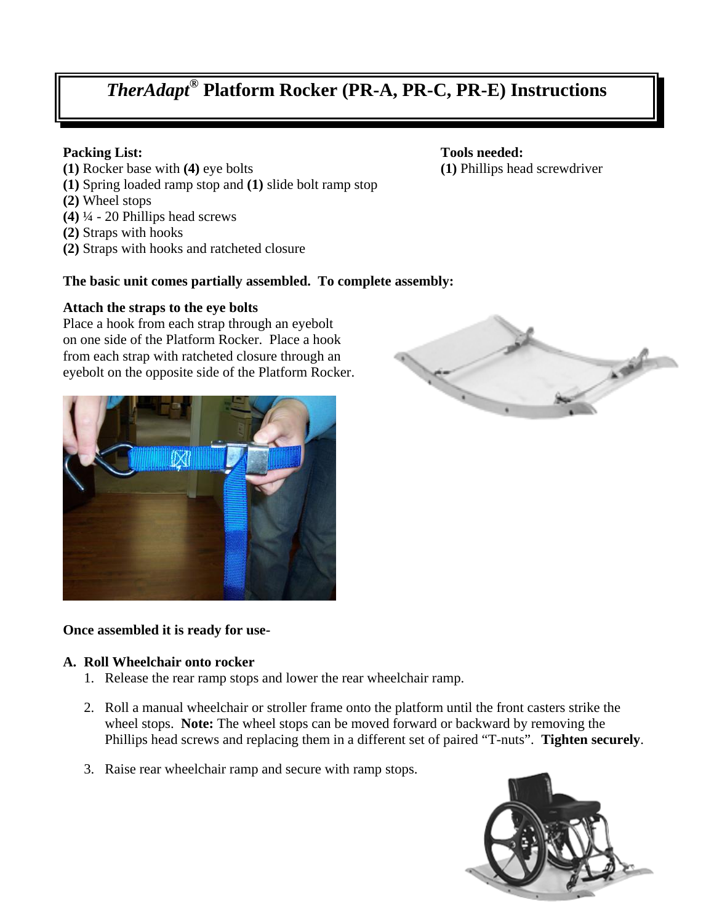# *TherAdapt®* **Platform Rocker (PR-A, PR-C, PR-E) Instructions**

- **(1)** Rocker base with **(4)** eye bolts **(1)** Phillips head screwdriver
- **(1)** Spring loaded ramp stop and **(1)** slide bolt ramp stop
- **(2)** Wheel stops
- **(4)** ¼ 20 Phillips head screws
- **(2)** Straps with hooks
- **(2)** Straps with hooks and ratcheted closure

#### **The basic unit comes partially assembled. To complete assembly:**

#### **Attach the straps to the eye bolts**

Place a hook from each strap through an eyebolt on one side of the Platform Rocker. Place a hook from each strap with ratcheted closure through an eyebolt on the opposite side of the Platform Rocker.



#### **Once assembled it is ready for use-**

#### **A. Roll Wheelchair onto rocker**

- 1. Release the rear ramp stops and lower the rear wheelchair ramp.
- 2. Roll a manual wheelchair or stroller frame onto the platform until the front casters strike the wheel stops. **Note:** The wheel stops can be moved forward or backward by removing the Phillips head screws and replacing them in a different set of paired "T-nuts". **Tighten securely**.
- 3. Raise rear wheelchair ramp and secure with ramp stops.





**Packing List:** Tools needed: